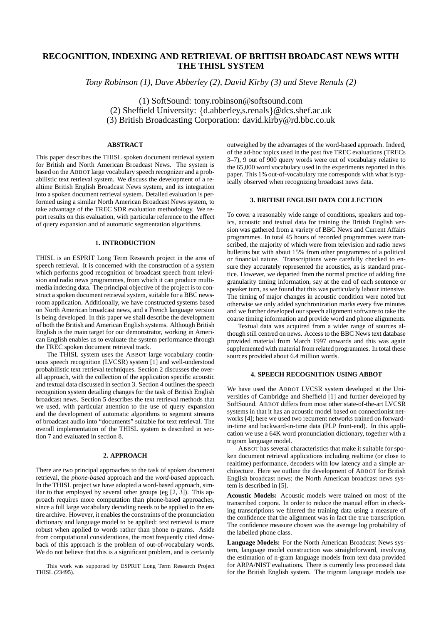# **RECOGNITION, INDEXING AND RETRIEVAL OF BRITISH BROADCAST NEWS WITH THE THISL SYSTEM**

*Tony Robinson (1), Dave Abberley (2), David Kirby (3) and Steve Renals (2)*

(1) SoftSound: tony.robinson@softsound.com (2) Sheffield University: {d.abberley,s.renals} @dcs.shef.ac.uk (3) British Broadcasting Corporation: david.kirby@rd.bbc.co.uk

# **ABSTRACT**

This paper describes the THISL spoken document retrieval system for British and North American Broadcast News. The system is based on the ABBOT large vocabulary speech recognizer and a probabilistic text retrieval system. We discuss the development of a realtime British English Broadcast News system, and its integration into a spoken document retrieval system. Detailed evaluation is performed using a similar North American Broadcast News system, to take advantage of the TREC SDR evaluation methodology. We report results on this evaluation, with particular reference to the effect of query expansion and of automatic segmentation algorithms.

## **1. INTRODUCTION**

THISL is an ESPRIT Long Term Research project in the area of speech retrieval. It is concerned with the construction of a system which performs good recognition of broadcast speech from television and radio news programmes, from which it can produce multimedia indexing data. The principal objective of the project is to construct a spoken document retrieval system, suitable for a BBC newsroom application. Additionally, we have constructed systems based on North American broadcast news, and a French language version is being developed. In this paper we shall describe the development of both the British and American English systems. Although British English is the main target for our demonstrator, working in American English enables us to evaluate the system performance through the TREC spoken document retrieval track.

The THISL system uses the ABBOT large vocabulary continuous speech recognition (LVCSR) system [1] and well-understood probabilistic text retrieval techniques. Section 2 discusses the overall approach, with the collection of the application specific acoustic and textual data discussed in section 3. Section 4 outlines the speech recognition system detailing changes for the task of British English broadcast news. Section 5 describes the text retrieval methods that we used, with particular attention to the use of query expansion and the development of automatic algorithms to segment streams of broadcast audio into "documents" suitable for text retrieval. The overall implementation of the THISL system is described in section 7 and evaluated in section 8.

### **2. APPROACH**

There are two principal approaches to the task of spoken document retrieval, the *phone-based* approach and the *word-based* approach. In the THISL project we have adopted a word-based approach, similar to that employed by several other groups (eg [2, 3]). This approach requires more computation than phone-based approaches, since a full large vocabulary decoding needs to be applied to the entire archive. However, it enables the constraints of the pronunciation dictionary and language model to be applied: text retrieval is more robust when applied to words rather than phone n-grams. Aside from computational considerations, the most frequently cited drawback of this approach is the problem of out-of-vocabulary words. We do not believe that this is a significant problem, and is certainly outweighed by the advantages of the word-based approach. Indeed, of the ad-hoc topics used in the past five TREC evaluations (TRECs 3–7), 9 out of 900 query words were out of vocabulary relative to the 65,000 word vocabulary used in the experiments reported in this paper. This 1% out-of-vocabulary rate corresponds with what is typically observed when recognizing broadcast news data.

# **3. BRITISH ENGLISH DATA COLLECTION**

To cover a reasonably wide range of conditions, speakers and topics, acoustic and textual data for training the British English version was gathered from a variety of BBC News and Current Affairs programmes. In total 45 hours of recorded programmes were transcribed, the majority of which were from television and radio news bulletins but with about 15% from other programmes of a political or financial nature. Transcriptions were carefully checked to ensure they accurately represented the acoustics, as is standard practice. However, we departed from the normal practice of adding fine granularity timing information, say at the end of each sentence or speaker turn, as we found that this was particularly labour intensive. The timing of major changes in acoustic condition were noted but otherwise we only added synchronization marks every five minutes and we further developed our speech alignment software to take the coarse timing information and provide word and phone alignments.

Textual data was acquired from a wider range of sources although still centred on news. Access to the BBC News text database provided material from March 1997 onwards and this was again supplemented with material from related programmes. In total these sources provided about 6.4 million words.

## **4. SPEECH RECOGNITION USING ABBOT**

We have used the ABBOT LVCSR system developed at the Universities of Cambridge and Sheffield [1] and further developed by SoftSound. ABBOT differs from most other state-of-the-art LVCSR systems in that it has an acoustic model based on connectionist networks [4]; here we used two recurrent networks trained on forwardin-time and backward-in-time data (PLP front-end). In this application we use a 64K word pronunciation dictionary, together with a trigram language model.

ABBOT has several characteristics that make it suitable for spoken document retrieval applications including realtime (or close to realtime) performance, decoders with low latency and a simple architecture. Here we outline the development of ABBOT for British English broadcast news; the North American broadcast news system is described in [5].

**Acoustic Models:** Acoustic models were trained on most of the transcribed corpora. In order to reduce the manual effort in checking transcriptions we filtered the training data using a measure of the confidence that the alignment was in fact the true transcription. The confidence measure chosen was the average log probability of the labelled phone class.

**Language Models:** For the North American Broadcast News system, language model construction was straightforward, involving the estimation of n-gram language models from text data provided for ARPA/NIST evaluations. There is currently less processed data for the British English system. The trigram language models use

This work was supported by ESPRIT Long Term Research Project THISL (23495).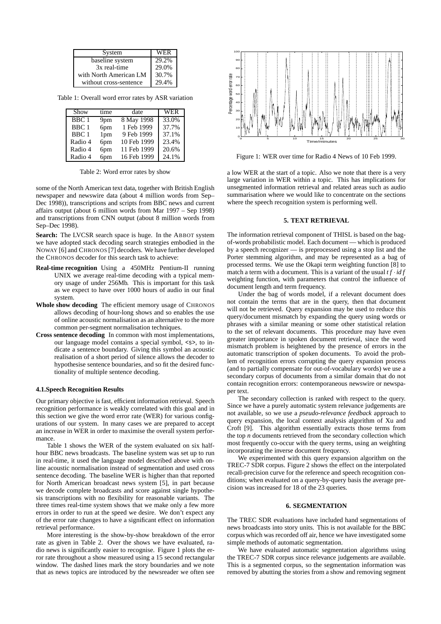| System                 | WER   |
|------------------------|-------|
| baseline system        | 29.2% |
| 3x real-time           | 29.0% |
| with North American LM | 30.7% |
| without cross-sentence | 29.4% |

Table 1: Overall word error rates by ASR variation

| Show             | time            | date        | <b>WER</b> |
|------------------|-----------------|-------------|------------|
| BBC 1            | 9 <sub>pm</sub> | 8 May 1998  | 33.0%      |
| BBC <sub>1</sub> | 6pm             | 1 Feb 1999  | 37.7%      |
| BBC <sub>1</sub> | 1 <sub>pm</sub> | 9 Feb 1999  | 37.1%      |
| Radio 4          | 6pm             | 10 Feb 1999 | 23.4%      |
| Radio 4          | 6pm             | 11 Feb 1999 | 20.6%      |
| Radio 4          | 6pm             | 16 Feb 1999 | 24.1%      |

Table 2: Word error rates by show

some of the North American text data, together with British English newspaper and newswire data (about 4 million words from Sep– Dec 1998)), transcriptions and scripts from BBC news and current affairs output (about 6 million words from Mar 1997 – Sep 1998) and transcriptions from CNN output (about 8 million words from Sep–Dec 1998).

**Search:** The LVCSR search space is huge. In the ABBOT system we have adopted stack decoding search strategies embodied in the NOWAY [6] and CHRONOS [7] decoders. We have further developed the CHRONOS decoder for this search task to achieve:

- **Real-time recognition** Using a 450MHz Pentium-II running UNIX we average real-time decoding with a typical memory usage of under 256Mb. This is important for this task as we expect to have over 1000 hours of audio in our final system.
- **Whole show decoding** The efficient memory usage of CHRONOS allows decoding of hour-long shows and so enables the use of online acoustic normalisation as an alternative to the more common per-segment normalisation techniques.
- **Cross sentence decoding** In common with most implementations, our language model contains a special symbol, <s>, to indicate a sentence boundary. Giving this symbol an acoustic realisation of a short period of silence allows the decoder to hypothesise sentence boundaries, and so fit the desired functionality of multiple sentence decoding.

# **4.1.Speech Recognition Results**

Our primary objective is fast, efficient information retrieval. Speech recognition performance is weakly correlated with this goal and in this section we give the word error rate (WER) for various configurations of our system. In many cases we are prepared to accept an increase in WER in order to maximise the overall system performance.

Table 1 shows the WER of the system evaluated on six halfhour BBC news broadcasts. The baseline system was set up to run in real-time, it used the language model described above with online acoustic normalisation instead of segmentation and used cross sentence decoding. The baseline WER is higher than that reported for North American broadcast news system [5], in part because we decode complete broadcasts and score against single hypothesis transcriptions with no flexibility for reasonable variants. The three times real-time system shows that we make only a few more errors in order to run at the speed we desire. We don't expect any of the error rate changes to have a significant effect on information retrieval performance.

More interesting is the show-by-show breakdown of the error rate as given in Table 2. Over the shows we have evaluated, radio news is significantly easier to recognise. Figure 1 plots the error rate throughout a show measured using a 15 second rectangular window. The dashed lines mark the story boundaries and we note that as news topics are introduced by the newsreader we often see



Figure 1: WER over time for Radio 4 News of 10 Feb 1999.

a low WER at the start of a topic. Also we note that there is a very large variation in WER within a topic. This has implications for unsegmented information retrieval and related areas such as audio summarisation where we would like to concentrate on the sections where the speech recognition system is performing well.

#### **5. TEXT RETRIEVAL**

The information retrieval component of THISL is based on the bagof-words probabilistic model. Each document — which is produced by a speech recognizer — is preprocessed using a stop list and the Porter stemming algorithm, and may be represented as a bag of processed terms. We use the Okapi term weighting function [8] to match a term with a document. This is a variant of the usual  $tf$  *idf* weighting function, with parameters that control the influence of document length and term frequency.

Under the bag of words model, if a relevant document does not contain the terms that are in the query, then that document will not be retrieved. Query expansion may be used to reduce this query/document mismatch by expanding the query using words or phrases with a similar meaning or some other statistical relation to the set of relevant documents. This procedure may have even greater importance in spoken document retrieval, since the word mismatch problem is heightened by the presence of errors in the automatic transcription of spoken documents. To avoid the problem of recognition errors corrupting the query expansion process (and to partially compensate for out-of-vocabulary words) we use a secondary corpus of documents from a similar domain that do not contain recognition errors: contemporaneous newswire or newspaper text.

The secondary collection is ranked with respect to the query. Since we have a purely automatic system relevance judgements are not available, so we use a *pseudo-relevance feedback* approach to query expansion, the local context analysis algorithm of Xu and Croft [9]. This algorithm essentially extracts those terms from the top *n* documents retrieved from the secondary collection which most frequently co-occur with the query terms, using an weighting incorporating the inverse document frequency.

We experimented with this query expansion algorithm on the TREC-7 SDR corpus. Figure 2 shows the effect on the interpolated recall-precision curve for the reference and speech recognition conditions; when evaluated on a query-by-query basis the average precision was increased for 18 of the 23 queries.

### **6. SEGMENTATION**

The TREC SDR evaluations have included hand segmentations of news broadcasts into story units. This is not available for the BBC corpus which was recorded off air, hence we have investigated some simple methods of automatic segmentation.

We have evaluated automatic segmentation algorithms using the TREC-7 SDR corpus since relevance judgements are available. This is a segmented corpus, so the segmentation information was removed by abutting the stories from a show and removing segment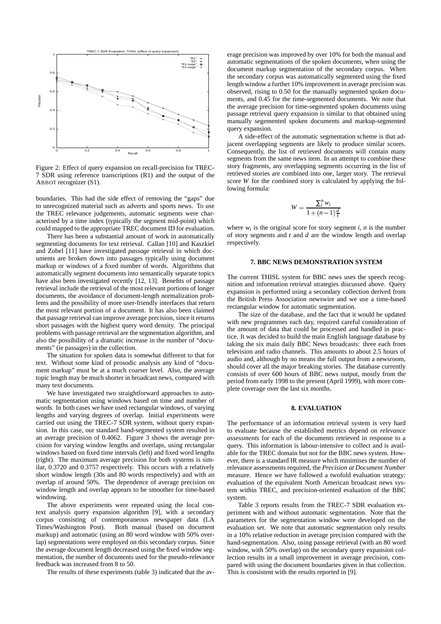

Figure 2: Effect of query expansion on recall-precision for TREC-7 SDR using reference transcriptions (R1) and the output of the ABBOT recognizer (S1).

boundaries. This had the side effect of removing the "gaps" due to unrecognized material such as adverts and sports news. To use the TREC relevance judgements, automatic segments were characterised by a time index (typically the segment mid-point) which could mapped to the appropriate TREC document ID for evaluation.

There has been a substantial amount of work in automatically segmenting documents for text retrieval. Callan [10] and Kaszkiel and Zobel [11] have investigated *passage* retrieval in which documents are broken down into passages typically using document markup or windows of a fixed number of words. Algorithms that automatically segment documents into semantically separate topics have also been investigated recently [12, 13]. Benefits of passage retrieval include the retrieval of the most relevant portions of longer documents, the avoidance of document-length normalization problems and the possibility of more user-friendly interfaces that return the most relevant portion of a document. It has also been claimed that passage retrieval can improve average precision, since it returns short passages with the highest query word density. The principal problems with passage retrieval are the segmentation algorithm, and also the possibility of a dramatic increase in the number of "documents" (ie passages) in the collection.

The situation for spoken data is somewhat different to that for text. Without some kind of prosodic analysis any kind of "document markup" must be at a much coarser level. Also, the average topic length may be much shorter in broadcast news, compared with many text documents.

We have investigated two straightforward approaches to automatic segmentation using windows based on time and number of words. In both cases we have used rectangular windows, of varying lengths and varying degrees of overlap. Initial experiments were carried out using the TREC-7 SDR system, without query expansion. In this case, our standard hand-segmented system resulted in an average precision of 0.4062. Figure 3 shows the average precision for varying window lengths and overlaps, using rectangular windows based on fixed time intervals (left) and fixed word lengths (right). The maximum average precision for both systems is similar, 0.3720 and 0.3757 respectively. This occurs with a relatively short window length (30s and 80 words respectively) and with an overlap of around 50%. The dependence of average precision on window length and overlap appears to be smoother for time-based windowing.

The above experiments were repeated using the local context analysis query expansion algorithm [9], with a secondary corpus consisting of contemporaneous newspaper data (LA Times/Washington Post). Both manual (based on document markup) and automatic (using an 80 word window with 50% overlap) segmentations were employed on this secondary corpus. Since the average document length decreased using the fixed window segmentation, the number of documents used for the pseudo-relevance feedback was increased from 8 to 50.

The results of these experiments (table 3) indicated that the av-

erage precision was improved by over 10% for both the manual and automatic segmentations of the spoken documents, when using the document markup segmentation of the secondary corpus. When the secondary corpus was automatically segmented using the fixed length window a further 10% improvement in average precision was observed, rising to 0.50 for the manually segmented spoken documents, and 0.45 for the time-segmented documents. We note that the average precision for time-segmented spoken documents using passage retrieval query expansion is similar to that obtained using manually segemented spoken documents and markup-segmented query expansion.

A side-effect of the automatic segmentation scheme is that adjacent overlapping segments are likely to produce similar scores. Consequently, the list of retrieved documents will contain many segments from the same news item. In an attempt to combine these story fragments, any overlapping segments occurring in the list of retrieved stories are combined into one, larger story. The retrieval score *W* for the combined story is calculated by applying the following formula:

$$
W = \frac{\sum_{i}^{n} w_i}{1 + (n-1)\frac{d}{t}}
$$

where  $w_i$  is the original score for story segment *i*, *n* is the number of story segments and *t* and *d* are the window length and overlap respectively.

# **7. BBC NEWS DEMONSTRATION SYSTEM**

The current THISL system for BBC news uses the speech recognition and information retrieval strategies discussed above. Query expansion is performed using a secondary collection derived from the British Press Association newswire and we use a time-based rectangular window for automatic segmentation.

The size of the database, and the fact that it would be updated with new programmes each day, required careful consideration of the amount of data that could be processed and handled in practice. It was decided to build the main English language database by taking the six main daily BBC News broadcasts: three each from television and radio channels. This amounts to about 2.5 hours of audio and, although by no means the full output from a newsroom, should cover all the major breaking stories. The database currently consists of over 600 hours of BBC news output, mostly from the period from early 1998 to the present (April 1999), with more complete coverage over the last six months.

## **8. EVALUATION**

The performance of an information retrieval system is very hard to evaluate because the established metrics depend on *relevance assessments* for each of the documents retrieved in response to a query. This information is labour-intensive to collect and is available for the TREC domain but not for the BBC news system. However, there is a standard IR measure which minimises the number of relevance assessments required, the *Precision at Document Number* measure. Hence we have followed a twofold evaluation strategy: evaluation of the equivalent North American broadcast news system within TREC, and precision-oriented evaluation of the BBC system.

Table 3 reports results from the TREC-7 SDR evaluation experiment with and without automatic segmentation. Note that the parameters for the segmentation window were developed on the evaluation set. We note that automatic segmentation only results in a 10% relative reduction in average precision compared with the hand-segmentation. Also, using passage retrieval (with an 80 word window, with 50% overlap) on the secondary query expansion collection results in a small improvement in average precision, compared with using the document boundaries given in that collection. This is consistent with the results reported in [9].